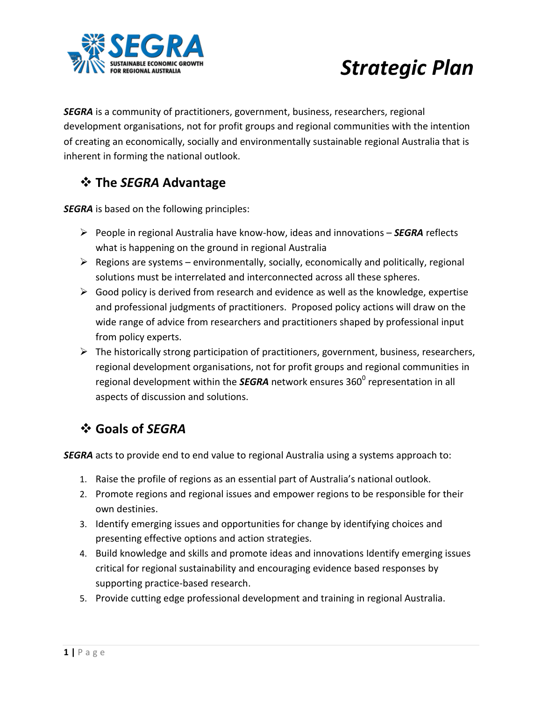

# *Strategic Plan*

*SEGRA* is a community of practitioners, government, business, researchers, regional development organisations, not for profit groups and regional communities with the intention of creating an economically, socially and environmentally sustainable regional Australia that is inherent in forming the national outlook.

## **The** *SEGRA* **Advantage**

*SEGRA* is based on the following principles:

- People in regional Australia have know-how, ideas and innovations *SEGRA* reflects what is happening on the ground in regional Australia
- $\triangleright$  Regions are systems environmentally, socially, economically and politically, regional solutions must be interrelated and interconnected across all these spheres.
- $\triangleright$  Good policy is derived from research and evidence as well as the knowledge, expertise and professional judgments of practitioners. Proposed policy actions will draw on the wide range of advice from researchers and practitioners shaped by professional input from policy experts.
- $\triangleright$  The historically strong participation of practitioners, government, business, researchers, regional development organisations, not for profit groups and regional communities in regional development within the *SEGRA* network ensures 360<sup>0</sup> representation in all aspects of discussion and solutions.

## **Goals of** *SEGRA*

*SEGRA* acts to provide end to end value to regional Australia using a systems approach to:

- 1. Raise the profile of regions as an essential part of Australia's national outlook.
- 2. Promote regions and regional issues and empower regions to be responsible for their own destinies.
- 3. Identify emerging issues and opportunities for change by identifying choices and presenting effective options and action strategies.
- 4. Build knowledge and skills and promote ideas and innovations Identify emerging issues critical for regional sustainability and encouraging evidence based responses by supporting practice-based research.
- 5. Provide cutting edge professional development and training in regional Australia.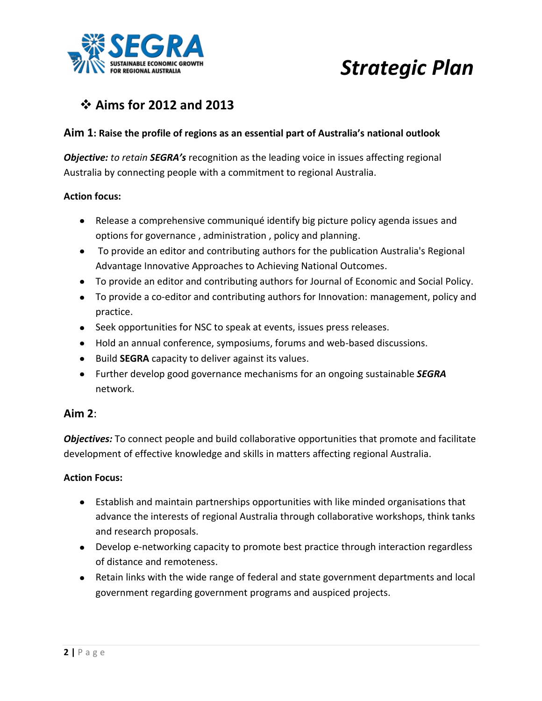

# *Strategic Plan*

## **Aims for 2012 and 2013**

### **Aim 1: Raise the profile of regions as an essential part of Australia's national outlook**

*Objective: to retain SEGRA's* recognition as the leading voice in issues affecting regional Australia by connecting people with a commitment to regional Australia.

#### **Action focus:**

- Release a comprehensive communiqué identify big picture policy agenda issues and options for governance , administration , policy and planning.
- To provide an editor and contributing authors for the publication Australia's Regional Advantage Innovative Approaches to Achieving National Outcomes.
- To provide an editor and contributing authors for Journal of Economic and Social Policy.
- To provide a co-editor and contributing authors for Innovation: management, policy and practice.
- Seek opportunities for NSC to speak at events, issues press releases.
- Hold an annual conference, symposiums, forums and web-based discussions.
- Build **SEGRA** capacity to deliver against its values.
- Further develop good governance mechanisms for an ongoing sustainable *SEGRA*  network.

### **Aim 2**:

*Objectives:* To connect people and build collaborative opportunities that promote and facilitate development of effective knowledge and skills in matters affecting regional Australia.

#### **Action Focus:**

- Establish and maintain partnerships opportunities with like minded organisations that advance the interests of regional Australia through collaborative workshops, think tanks and research proposals.
- Develop e-networking capacity to promote best practice through interaction regardless of distance and remoteness.
- Retain links with the wide range of federal and state government departments and local government regarding government programs and auspiced projects.